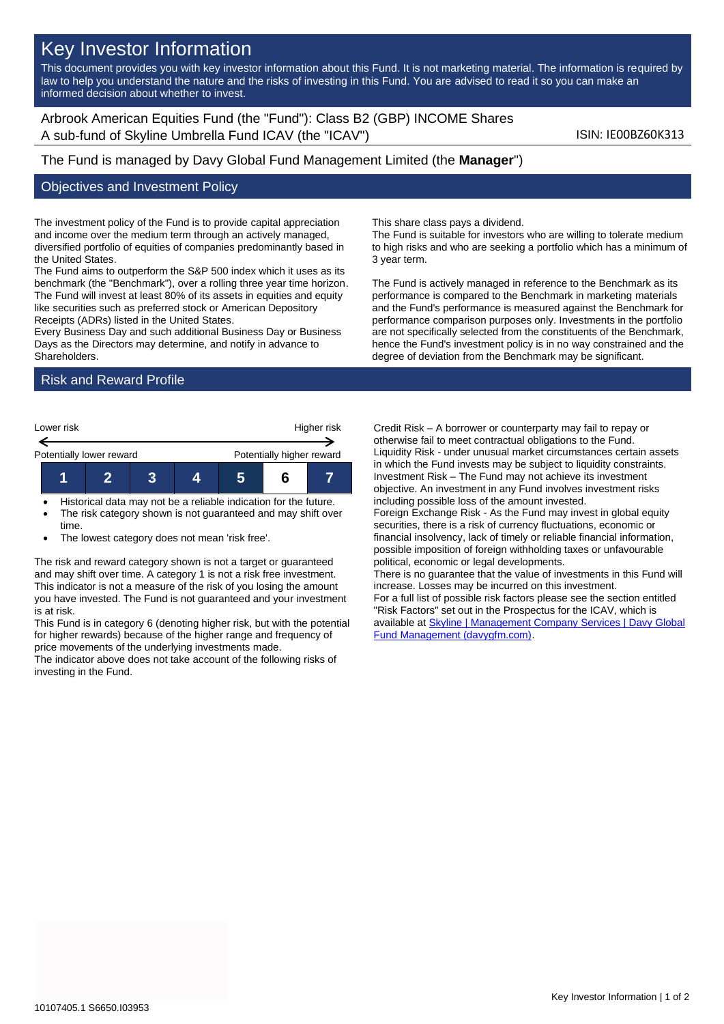# Key Investor Information

This document provides you with key investor information about this Fund. It is not marketing material. The information is required by law to help you understand the nature and the risks of investing in this Fund. You are advised to read it so you can make an informed decision about whether to invest.

Arbrook American Equities Fund (the "Fund"): Class B2 (GBP) INCOME Shares A sub-fund of Skyline Umbrella Fund ICAV (the "ICAV") Sub-fund iSIN: IE00BZ60K313

# The Fund is managed by Davy Global Fund Management Limited (the **Manager**")

#### Objectives and Investment Policy

The investment policy of the Fund is to provide capital appreciation and income over the medium term through an actively managed, diversified portfolio of equities of companies predominantly based in the United States.

The Fund aims to outperform the S&P 500 index which it uses as its benchmark (the "Benchmark"), over a rolling three year time horizon. The Fund will invest at least 80% of its assets in equities and equity like securities such as preferred stock or American Depository Receipts (ADRs) listed in the United States.

Every Business Day and such additional Business Day or Business Days as the Directors may determine, and notify in advance to **Shareholders** 

# Risk and Reward Profile



- Historical data may not be a reliable indication for the future. The risk category shown is not guaranteed and may shift over time.
- The lowest category does not mean 'risk free'.

The risk and reward category shown is not a target or guaranteed and may shift over time. A category 1 is not a risk free investment. This indicator is not a measure of the risk of you losing the amount you have invested. The Fund is not guaranteed and your investment is at risk.

This Fund is in category 6 (denoting higher risk, but with the potential for higher rewards) because of the higher range and frequency of price movements of the underlying investments made.

The indicator above does not take account of the following risks of investing in the Fund.

This share class pays a dividend.

The Fund is suitable for investors who are willing to tolerate medium to high risks and who are seeking a portfolio which has a minimum of 3 year term.

The Fund is actively managed in reference to the Benchmark as its performance is compared to the Benchmark in marketing materials and the Fund's performance is measured against the Benchmark for performance comparison purposes only. Investments in the portfolio are not specifically selected from the constituents of the Benchmark, hence the Fund's investment policy is in no way constrained and the degree of deviation from the Benchmark may be significant.

Credit Risk – A borrower or counterparty may fail to repay or otherwise fail to meet contractual obligations to the Fund. Liquidity Risk - under unusual market circumstances certain assets in which the Fund invests may be subject to liquidity constraints. Investment Risk – The Fund may not achieve its investment objective. An investment in any Fund involves investment risks including possible loss of the amount invested.

Foreign Exchange Risk - As the Fund may invest in global equity securities, there is a risk of currency fluctuations, economic or financial insolvency, lack of timely or reliable financial information, possible imposition of foreign withholding taxes or unfavourable political, economic or legal developments.

There is no guarantee that the value of investments in this Fund will increase. Losses may be incurred on this investment. For a full list of possible risk factors please see the section entitled "Risk Factors" set out in the Prospectus for the ICAV, which is available at Skyline | Management Company Services | Davy Global [Fund Management \(davygfm.com\).](https://www.davygfm.com/funds-factsheets/management-company-services/ireland/skyline.html)